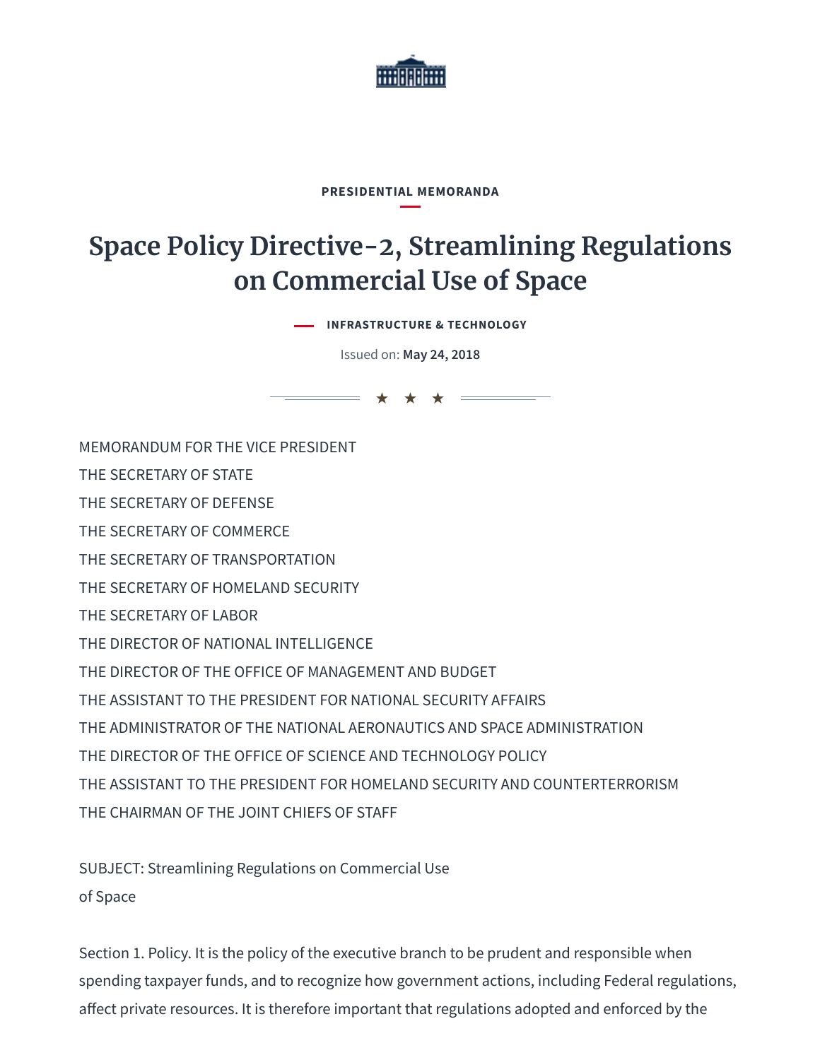

## **PRESIDENTIAL MEMORANDA**

## **Space Policy Directive-2, Streamlining Regulations on Commercial Use of Space**

**[INFRASTRUCTURE](https://www.whitehouse.gov/issues/infrastructure-technology/) & TECHNOLOGY**

Issued on: **May 24, 2018**

★ ★ ★

MEMORANDUM FOR THE VICE PRESIDENT THE SECRETARY OF STATE THE SECRETARY OF DEFENSE THE SECRETARY OF COMMERCE THE SECRETARY OF TRANSPORTATION THE SECRETARY OF HOMELAND SECURITY THE SECRETARY OF LABOR THE DIRECTOR OF NATIONAL INTELLIGENCE THE DIRECTOR OF THE OFFICE OF MANAGEMENT AND BUDGET THE ASSISTANT TO THE PRESIDENT FOR NATIONAL SECURITY AFFAIRS THE ADMINISTRATOR OF THE NATIONAL AERONAUTICS AND SPACE ADMINISTRATION THE DIRECTOR OF THE OFFICE OF SCIENCE AND TECHNOLOGY POLICY THE ASSISTANT TO THE PRESIDENT FOR HOMELAND SECURITY AND COUNTERTERRORISM THE CHAIRMAN OF THE JOINT CHIEFS OF STAFF

SUBJECT: Streamlining Regulations on Commercial Use of Space

Section 1. Policy. It is the policy of the executive branch to be prudent and responsible when spending taxpayer funds, and to recognize how government actions, including Federal regulations, affect private resources. It is therefore important that regulations adopted and enforced by the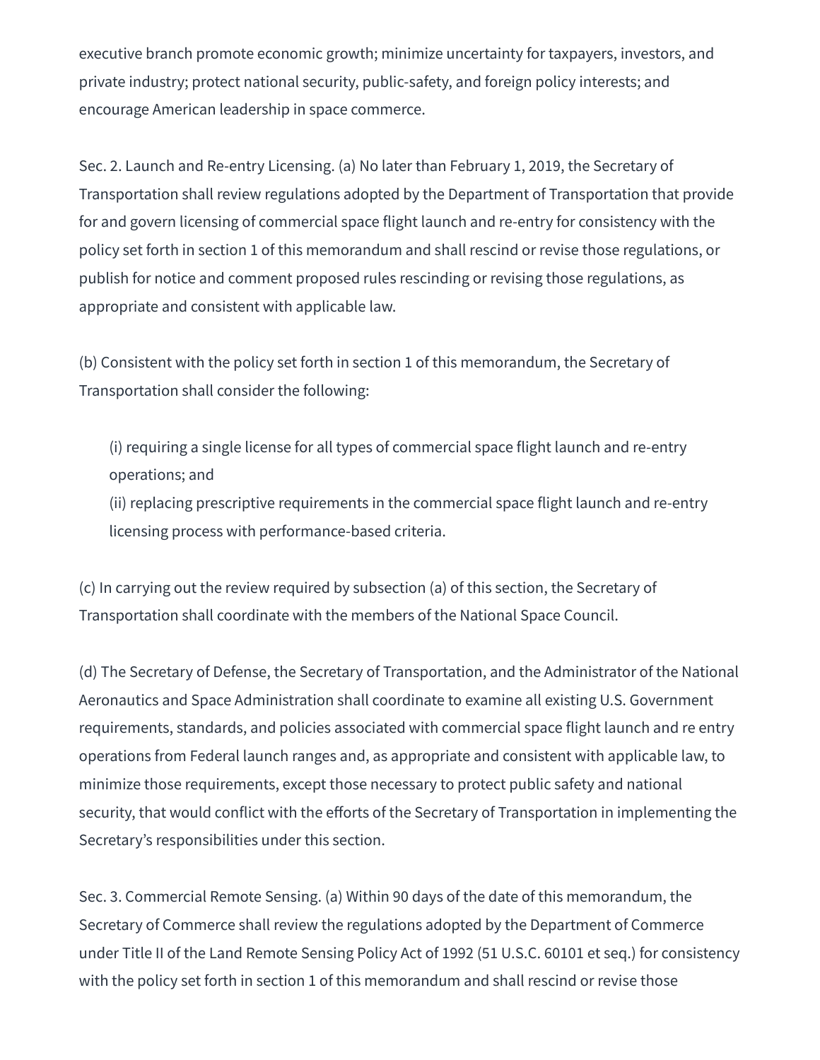executive branch promote economic growth; minimize uncertainty for taxpayers, investors, and private industry; protect national security, public-safety, and foreign policy interests; and encourage American leadership in space commerce.

Sec. 2. Launch and Re-entry Licensing. (a) No later than February 1, 2019, the Secretary of Transportation shall review regulations adopted by the Department of Transportation that provide for and govern licensing of commercial space flight launch and re-entry for consistency with the policy set forth in section 1 of this memorandum and shall rescind or revise those regulations, or publish for notice and comment proposed rules rescinding or revising those regulations, as appropriate and consistent with applicable law.

(b) Consistent with the policy set forth in section 1 of this memorandum, the Secretary of Transportation shall consider the following:

(i) requiring a single license for all types of commercial space flight launch and re-entry operations; and

(ii) replacing prescriptive requirements in the commercial space flight launch and re-entry licensing process with performance-based criteria.

(c) In carrying out the review required by subsection (a) of this section, the Secretary of Transportation shall coordinate with the members of the National Space Council.

(d) The Secretary of Defense, the Secretary of Transportation, and the Administrator of the National Aeronautics and Space Administration shall coordinate to examine all existing U.S. Government requirements, standards, and policies associated with commercial space flight launch and re entry operations from Federal launch ranges and, as appropriate and consistent with applicable law, to minimize those requirements, except those necessary to protect public safety and national security, that would conflict with the efforts of the Secretary of Transportation in implementing the Secretary's responsibilities under this section.

Sec. 3. Commercial Remote Sensing. (a) Within 90 days of the date of this memorandum, the Secretary of Commerce shall review the regulations adopted by the Department of Commerce under Title II of the Land Remote Sensing Policy Act of 1992 (51 U.S.C. 60101 et seq.) for consistency with the policy set forth in section 1 of this memorandum and shall rescind or revise those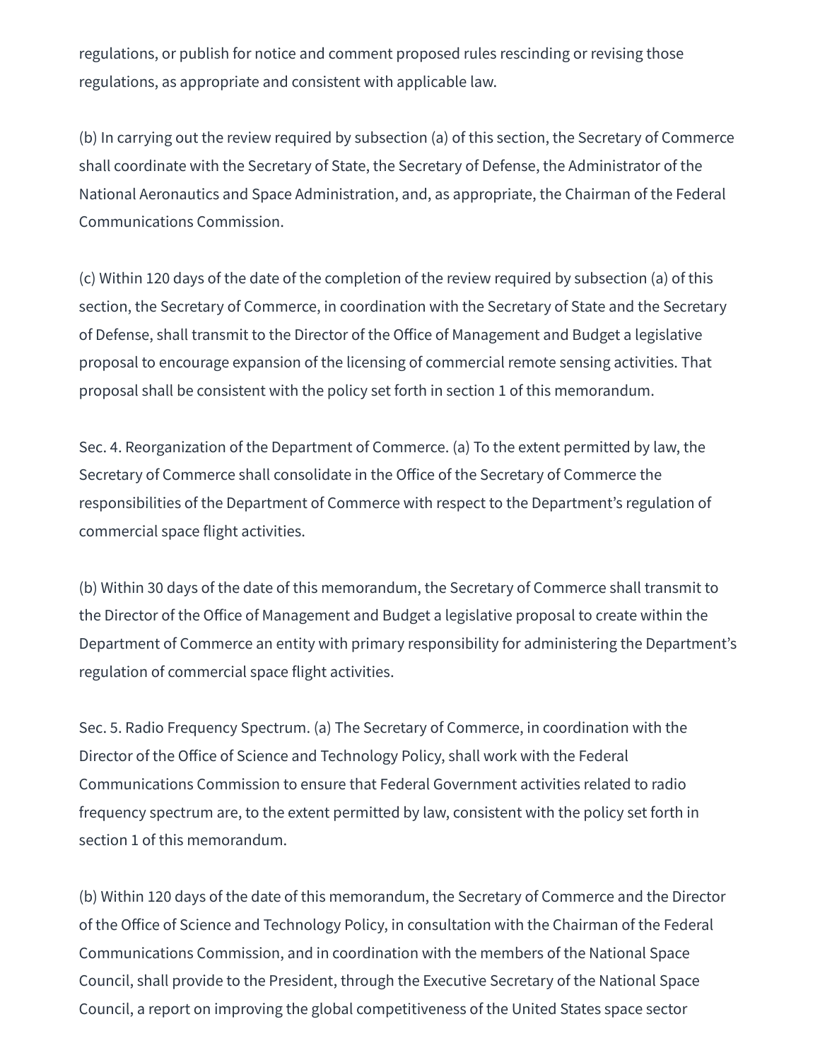regulations, or publish for notice and comment proposed rules rescinding or revising those regulations, as appropriate and consistent with applicable law.

(b) In carrying out the review required by subsection (a) of this section, the Secretary of Commerce shall coordinate with the Secretary of State, the Secretary of Defense, the Administrator of the National Aeronautics and Space Administration, and, as appropriate, the Chairman of the Federal Communications Commission.

(c) Within 120 days of the date of the completion of the review required by subsection (a) of this section, the Secretary of Commerce, in coordination with the Secretary of State and the Secretary of Defense, shall transmit to the Director of the Office of Management and Budget a legislative proposal to encourage expansion of the licensing of commercial remote sensing activities. That proposal shall be consistent with the policy set forth in section 1 of this memorandum.

Sec. 4. Reorganization of the Department of Commerce. (a) To the extent permitted by law, the Secretary of Commerce shall consolidate in the Office of the Secretary of Commerce the responsibilities of the Department of Commerce with respect to the Department's regulation of commercial space flight activities.

(b) Within 30 days of the date of this memorandum, the Secretary of Commerce shall transmit to the Director of the Office of Management and Budget a legislative proposal to create within the Department of Commerce an entity with primary responsibility for administering the Department's regulation of commercial space flight activities.

Sec. 5. Radio Frequency Spectrum. (a) The Secretary of Commerce, in coordination with the Director of the Office of Science and Technology Policy, shall work with the Federal Communications Commission to ensure that Federal Government activities related to radio frequency spectrum are, to the extent permitted by law, consistent with the policy set forth in section 1 of this memorandum.

(b) Within 120 days of the date of this memorandum, the Secretary of Commerce and the Director of the Office of Science and Technology Policy, in consultation with the Chairman of the Federal Communications Commission, and in coordination with the members of the National Space Council, shall provide to the President, through the Executive Secretary of the National Space Council, a report on improving the global competitiveness of the United States space sector